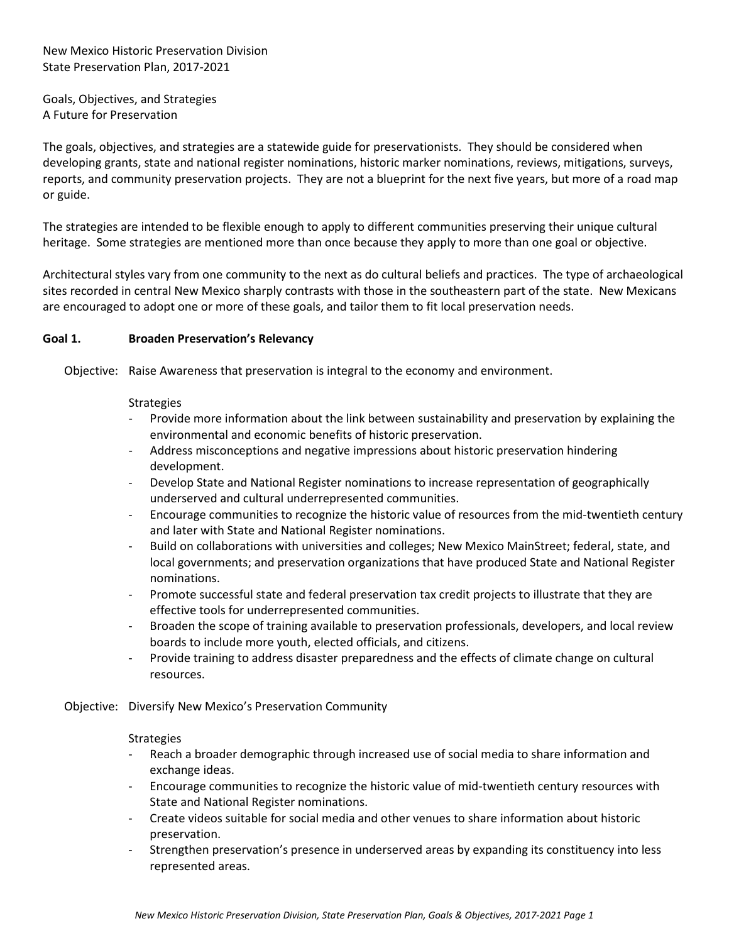New Mexico Historic Preservation Division State Preservation Plan, 2017-2021

Goals, Objectives, and Strategies A Future for Preservation

The goals, objectives, and strategies are a statewide guide for preservationists. They should be considered when developing grants, state and national register nominations, historic marker nominations, reviews, mitigations, surveys, reports, and community preservation projects. They are not a blueprint for the next five years, but more of a road map or guide.

The strategies are intended to be flexible enough to apply to different communities preserving their unique cultural heritage. Some strategies are mentioned more than once because they apply to more than one goal or objective.

Architectural styles vary from one community to the next as do cultural beliefs and practices. The type of archaeological sites recorded in central New Mexico sharply contrasts with those in the southeastern part of the state. New Mexicans are encouraged to adopt one or more of these goals, and tailor them to fit local preservation needs.

# **Goal 1. Broaden Preservation's Relevancy**

Objective: Raise Awareness that preservation is integral to the economy and environment.

## Strategies

- Provide more information about the link between sustainability and preservation by explaining the environmental and economic benefits of historic preservation.
- Address misconceptions and negative impressions about historic preservation hindering development.
- Develop State and National Register nominations to increase representation of geographically underserved and cultural underrepresented communities.
- Encourage communities to recognize the historic value of resources from the mid-twentieth century and later with State and National Register nominations.
- Build on collaborations with universities and colleges; New Mexico MainStreet; federal, state, and local governments; and preservation organizations that have produced State and National Register nominations.
- Promote successful state and federal preservation tax credit projects to illustrate that they are effective tools for underrepresented communities.
- Broaden the scope of training available to preservation professionals, developers, and local review boards to include more youth, elected officials, and citizens.
- Provide training to address disaster preparedness and the effects of climate change on cultural resources.
- Objective: Diversify New Mexico's Preservation Community

### **Strategies**

- Reach a broader demographic through increased use of social media to share information and exchange ideas.
- Encourage communities to recognize the historic value of mid-twentieth century resources with State and National Register nominations.
- Create videos suitable for social media and other venues to share information about historic preservation.
- Strengthen preservation's presence in underserved areas by expanding its constituency into less represented areas.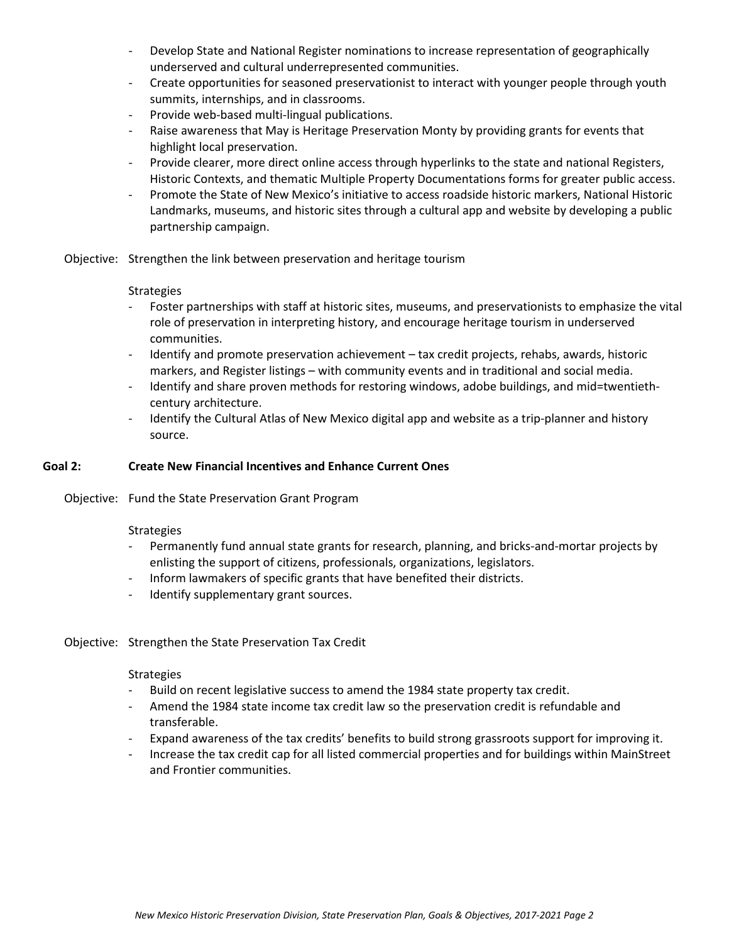- Develop State and National Register nominations to increase representation of geographically underserved and cultural underrepresented communities.
- Create opportunities for seasoned preservationist to interact with younger people through youth summits, internships, and in classrooms.
- Provide web-based multi-lingual publications.
- Raise awareness that May is Heritage Preservation Monty by providing grants for events that highlight local preservation.
- Provide clearer, more direct online access through hyperlinks to the state and national Registers, Historic Contexts, and thematic Multiple Property Documentations forms for greater public access.
- Promote the State of New Mexico's initiative to access roadside historic markers, National Historic Landmarks, museums, and historic sites through a cultural app and website by developing a public partnership campaign.

Objective: Strengthen the link between preservation and heritage tourism

## **Strategies**

- Foster partnerships with staff at historic sites, museums, and preservationists to emphasize the vital role of preservation in interpreting history, and encourage heritage tourism in underserved communities.
- Identify and promote preservation achievement tax credit projects, rehabs, awards, historic markers, and Register listings – with community events and in traditional and social media.
- Identify and share proven methods for restoring windows, adobe buildings, and mid=twentiethcentury architecture.
- Identify the Cultural Atlas of New Mexico digital app and website as a trip-planner and history source.

## **Goal 2: Create New Financial Incentives and Enhance Current Ones**

Objective: Fund the State Preservation Grant Program

### **Strategies**

- Permanently fund annual state grants for research, planning, and bricks-and-mortar projects by enlisting the support of citizens, professionals, organizations, legislators.
- Inform lawmakers of specific grants that have benefited their districts.
- Identify supplementary grant sources.

# Objective: Strengthen the State Preservation Tax Credit

### **Strategies**

- Build on recent legislative success to amend the 1984 state property tax credit.
- Amend the 1984 state income tax credit law so the preservation credit is refundable and transferable.
- Expand awareness of the tax credits' benefits to build strong grassroots support for improving it.
- Increase the tax credit cap for all listed commercial properties and for buildings within MainStreet and Frontier communities.